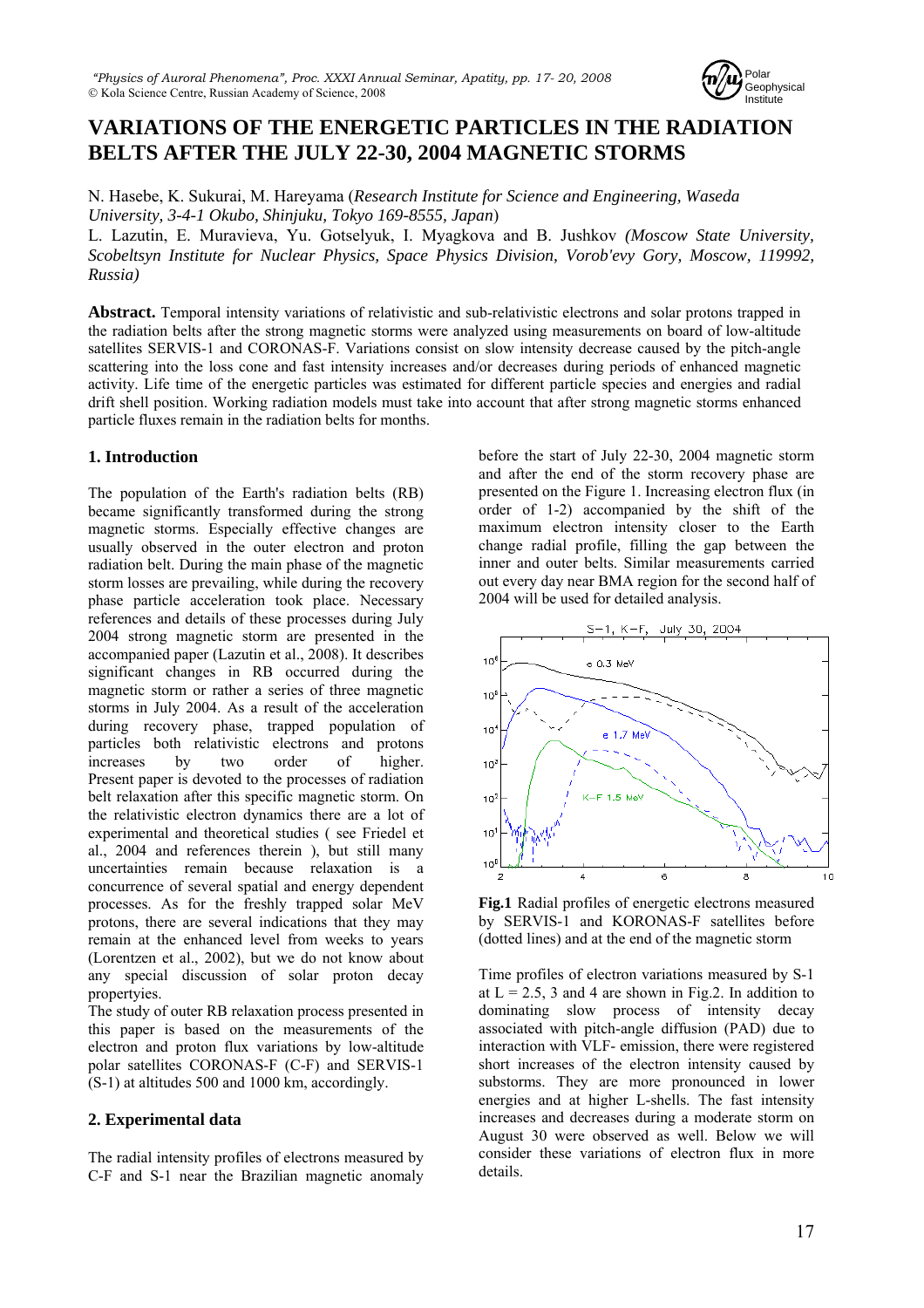

# **VARIATIONS OF THE ENERGETIC PARTICLES IN THE RADIATION BELTS AFTER THE JULY 22-30, 2004 MAGNETIC STORMS**

N. Hasebe, K. Sukurai, M. Hareyama (*Research Institute for Science and Engineering, Waseda University, 3-4-1 Okubo, Shinjuku, Tokyo 169-8555, Japan*)

L. Lazutin, E. Muravieva, Yu. Gotselyuk, I. Myagkova and B. Jushkov *(Moscow State University, Scobeltsyn Institute for Nuclear Physics, Space Physics Division, Vorob'evy Gory, Moscow, 119992, Russia)*

**Abstract.** Temporal intensity variations of relativistic and sub-relativistic electrons and solar protons trapped in the radiation belts after the strong magnetic storms were analyzed using measurements on board of low-altitude satellites SERVIS-1 and CORONAS-F. Variations consist on slow intensity decrease caused by the pitch-angle scattering into the loss cone and fast intensity increases and/or decreases during periods of enhanced magnetic activity. Life time of the energetic particles was estimated for different particle species and energies and radial drift shell position. Working radiation models must take into account that after strong magnetic storms enhanced particle fluxes remain in the radiation belts for months.

## **1. Introduction**

The population of the Earth's radiation belts (RB) became significantly transformed during the strong magnetic storms. Especially effective changes are usually observed in the outer electron and proton radiation belt. During the main phase of the magnetic storm losses are prevailing, while during the recovery phase particle acceleration took place. Necessary references and details of these processes during July 2004 strong magnetic storm are presented in the accompanied paper (Lazutin et al., 2008). It describes significant changes in RB occurred during the magnetic storm or rather a series of three magnetic storms in July 2004. As a result of the acceleration during recovery phase, trapped population of particles both relativistic electrons and protons increases by two order of higher. Present paper is devoted to the processes of radiation belt relaxation after this specific magnetic storm. On the relativistic electron dynamics there are a lot of experimental and theoretical studies ( see Friedel et al., 2004 and references therein ), but still many uncertainties remain because relaxation is a concurrence of several spatial and energy dependent processes. As for the freshly trapped solar MeV protons, there are several indications that they may remain at the enhanced level from weeks to years (Lorentzen et al., 2002), but we do not know about any special discussion of solar proton decay propertyies.

The study of outer RB relaxation process presented in this paper is based on the measurements of the electron and proton flux variations by low-altitude polar satellites CORONAS-F (C-F) and SERVIS-1 (S-1) at altitudes 500 and 1000 km, accordingly.

## **2. Experimental data**

The radial intensity profiles of electrons measured by C-F and S-1 near the Brazilian magnetic anomaly

before the start of July 22-30, 2004 magnetic storm and after the end of the storm recovery phase are presented on the Figure 1. Increasing electron flux (in order of 1-2) accompanied by the shift of the maximum electron intensity closer to the Earth change radial profile, filling the gap between the inner and outer belts. Similar measurements carried out every day near BMA region for the second half of 2004 will be used for detailed analysis.



**Fig.1** Radial profiles of energetic electrons measured by SERVIS-1 and KORONAS-F satellites before (dotted lines) and at the end of the magnetic storm

Time profiles of electron variations measured by S-1 at  $L = 2.5$ , 3 and 4 are shown in Fig.2. In addition to dominating slow process of intensity decay associated with pitch-angle diffusion (PAD) due to interaction with VLF- emission, there were registered short increases of the electron intensity caused by substorms. They are more pronounced in lower energies and at higher L-shells. The fast intensity increases and decreases during a moderate storm on August 30 were observed as well. Below we will consider these variations of electron flux in more details.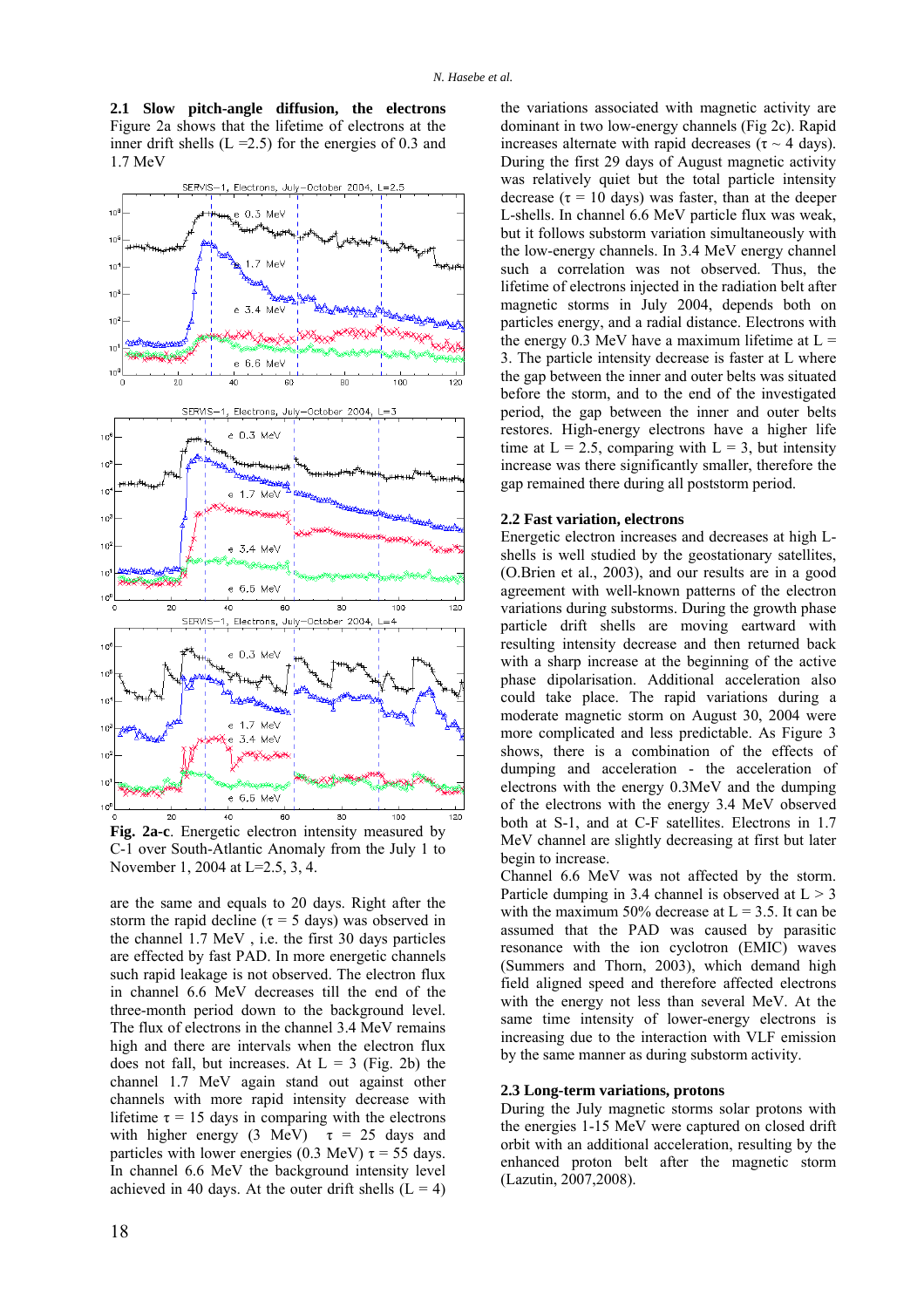**2.1 Slow pitch-angle diffusion, the electrons** Figure 2a shows that the lifetime of electrons at the inner drift shells  $(L = 2.5)$  for the energies of 0.3 and 1.7 MeV



**Fig. 2a-c**. Energetic electron intensity measured by C-1 over South-Atlantic Anomaly from the July 1 to November 1, 2004 at L=2.5, 3, 4.

are the same and equals to 20 days. Right after the storm the rapid decline ( $\tau = 5$  days) was observed in the channel 1.7 MeV , i.e. the first 30 days particles are effected by fast PAD. In more energetic channels such rapid leakage is not observed. The electron flux in channel 6.6 MeV decreases till the end of the three-month period down to the background level. The flux of electrons in the channel 3.4 MeV remains high and there are intervals when the electron flux does not fall, but increases. At  $L = 3$  (Fig. 2b) the channel 1.7 MeV again stand out against other channels with more rapid intensity decrease with lifetime  $\tau$  = 15 days in comparing with the electrons with higher energy (3 MeV)  $\tau = 25$  days and particles with lower energies (0.3 MeV)  $\tau = 55$  days. In channel 6.6 MeV the background intensity level achieved in 40 days. At the outer drift shells  $(L = 4)$ 

the variations associated with magnetic activity are dominant in two low-energy channels (Fig 2c). Rapid increases alternate with rapid decreases ( $\tau \sim 4$  days). During the first 29 days of August magnetic activity was relatively quiet but the total particle intensity decrease ( $\tau$  = 10 days) was faster, than at the deeper L-shells. In channel 6.6 MeV particle flux was weak, but it follows substorm variation simultaneously with the low-energy channels. In 3.4 MeV energy channel such a correlation was not observed. Thus, the lifetime of electrons injected in the radiation belt after magnetic storms in July 2004, depends both on particles energy, and a radial distance. Electrons with the energy 0.3 MeV have a maximum lifetime at  $L =$ 3. The particle intensity decrease is faster at L where the gap between the inner and outer belts was situated before the storm, and to the end of the investigated period, the gap between the inner and outer belts restores. High-energy electrons have a higher life time at  $L = 2.5$ , comparing with  $L = 3$ , but intensity increase was there significantly smaller, therefore the gap remained there during all poststorm period.

### **2.2 Fast variation, electrons**

Energetic electron increases and decreases at high Lshells is well studied by the geostationary satellites, (O.Brien et al., 2003), and our results are in a good agreement with well-known patterns of the electron variations during substorms. During the growth phase particle drift shells are moving eartward with resulting intensity decrease and then returned back with a sharp increase at the beginning of the active phase dipolarisation. Additional acceleration also could take place. The rapid variations during a moderate magnetic storm on August 30, 2004 were more complicated and less predictable. As Figure 3 shows, there is a combination of the effects of dumping and acceleration - the acceleration of electrons with the energy 0.3MeV and the dumping of the electrons with the energy 3.4 MeV observed both at S-1, and at C-F satellites. Electrons in 1.7 MeV channel are slightly decreasing at first but later begin to increase.

Channel 6.6 MeV was not affected by the storm. Particle dumping in 3.4 channel is observed at  $L > 3$ with the maximum 50% decrease at  $L = 3.5$ . It can be assumed that the PAD was caused by parasitic resonance with the ion cyclotron (EMIC) waves (Summers and Thorn, 2003), which demand high field aligned speed and therefore affected electrons with the energy not less than several MeV. At the same time intensity of lower-energy electrons is increasing due to the interaction with VLF emission by the same manner as during substorm activity.

#### **2.3 Long-term variations, protons**

During the July magnetic storms solar protons with the energies 1-15 MeV were captured on closed drift orbit with an additional acceleration, resulting by the enhanced proton belt after the magnetic storm (Lazutin, 2007,2008).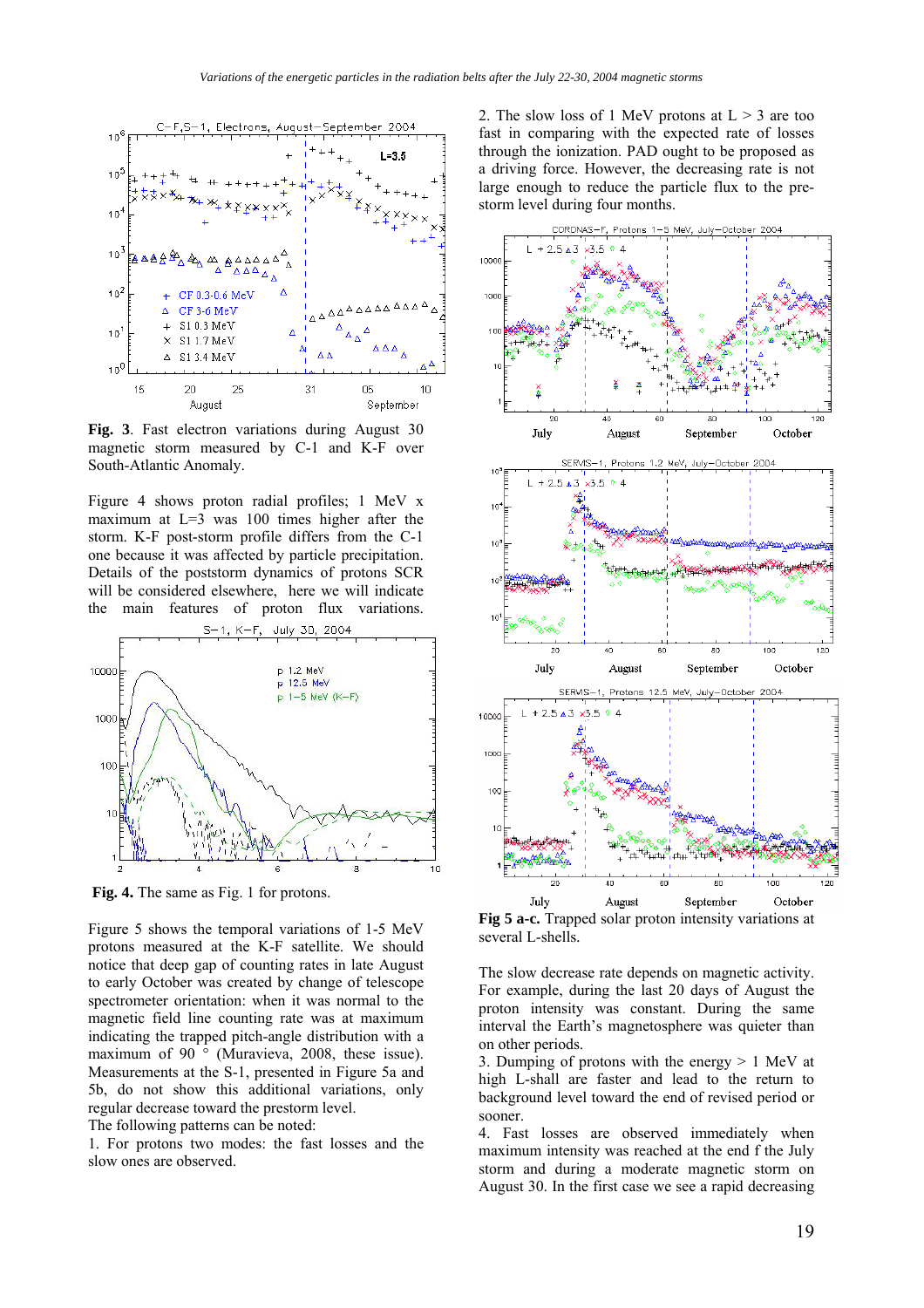

**Fig. 3**. Fast electron variations during August 30 magnetic storm measured by C-1 and K-F over South-Atlantic Anomaly.

Figure 4 shows proton radial profiles; 1 MeV x maximum at L=3 was 100 times higher after the storm. K-F post-storm profile differs from the C-1 one because it was affected by particle precipitation. Details of the poststorm dynamics of protons SCR will be considered elsewhere, here we will indicate the main features of proton flux variations.



**Fig. 4.** The same as Fig. 1 for protons.

Figure 5 shows the temporal variations of 1-5 MeV protons measured at the K-F satellite. We should notice that deep gap of counting rates in late August to early October was created by change of telescope spectrometer orientation: when it was normal to the magnetic field line counting rate was at maximum indicating the trapped pitch-angle distribution with a maximum of 90 ° (Muravieva, 2008, these issue). Measurements at the S-1, presented in Figure 5a and 5b, do not show this additional variations, only regular decrease toward the prestorm level.

The following patterns can be noted:

1. For protons two modes: the fast losses and the slow ones are observed.

2. The slow loss of 1 MeV protons at  $L > 3$  are too fast in comparing with the expected rate of losses through the ionization. PAD ought to be proposed as a driving force. However, the decreasing rate is not large enough to reduce the particle flux to the prestorm level during four months.



**Fig 5 a-c.** Trapped solar proton intensity variations at several L-shells*.*

The slow decrease rate depends on magnetic activity. For example, during the last 20 days of August the proton intensity was constant. During the same interval the Earth's magnetosphere was quieter than on other periods.

3. Dumping of protons with the energy  $> 1$  MeV at high L-shall are faster and lead to the return to background level toward the end of revised period or sooner.

4. Fast losses are observed immediately when maximum intensity was reached at the end f the July storm and during a moderate magnetic storm on August 30. In the first case we see a rapid decreasing